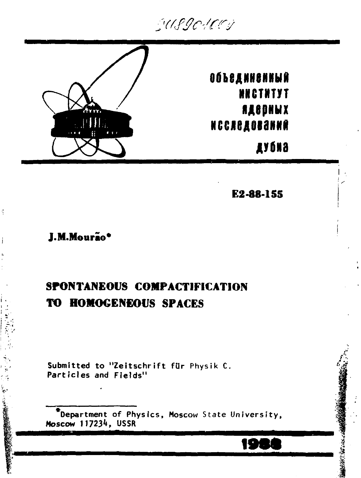GUSGOACOS



**Объединенный NNCTNTYT ЯДЕРНЫХ** NCCACAOBANNA

дубиа

E2-88-155

## J.M.Mourão\*

Ą.

Í

# SPONTANEOUS COMPACTIFICATION **TO HOMOGENEOUS SPACES**

Submitted to "Zeitschrift für Physik C. Particles and Fields"

\*Department of Physics, Moscow State University, Moscow 117234, USSR

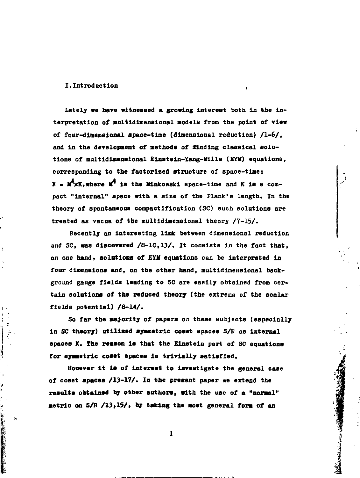#### **I.Introduction ,**

J

i, ċ

**事業時代發生的社会的社会的研究所** 

Lately we have witnessed a growing interest both in the in**terpretation of multidimensional models from the point of view of four-dimensional apace-time (dimensional reduction) /1-6/, and in the development of methods of finding classical solutions of multidimensional Elnstein-Xang-Hille (EYH) equations, corresponding to the factorized structure of space-time:**   $E = M^4 \times K$ , where  $M^4$  is the Minkowski space-time and K is a com**pact "Internal" space with a size of the Flank's length. In the theory of spontaneous compactiflcation (SC) such solutions are treated as vacua of the multidimensional theory /7-15/.** 

**Recently an interesting link between dimensional reduction**  and SC, was discovered /8-10,13/. It consists in the fact that, **on one hand, solutions of EYM equations can be interpreted in four dimensions and, on the other hand, multidimensional background gauge fields leading to SC are easily obtained from certain solutions of the reduced theory (the extreme of the scalar fields potential) /8-14/.** 

**So far the majority of papers on these subjects (especially in SC theory) utilized symmetric coset spaces S/E as internal spaces K. The reason is that the Einstein part of SC equations for symmetric coset spaces is trivially satisfied.** 

**However it is of interest to investigate the general case of coset spaces /13-17/. In the present paper we extend the results obtained by other authors, with the use of a "normal" metric on S/R /13,15/, by taking the most general form of an** 

**1** 

無理の うっこうさん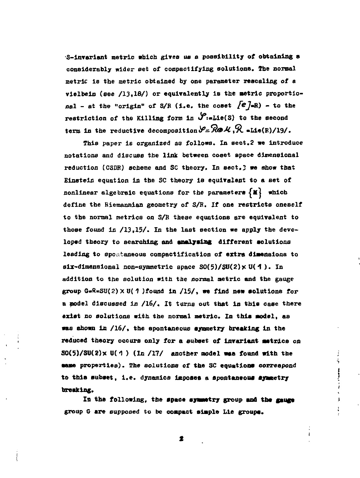**S-invariant metric which gives us a possibility of obtaining a considerably wider set of compactifуing solutions. The normal metric is the metric obtained by one parameter rescaling of a vielbein (see /13,18/) or equivalently is the metric proportio**nal - at the "origin" of S/R (i.e. the coset  $\{e\}$ =R) - to the restriction of the Killing form in  $\mathcal{S}:$  Lie(S) to the second term in the reductive decomposition  $\mathcal{S} = \mathbb{R} \oplus \mathcal{M}$ ,  $\mathbb{R}$  -Lie(R)/19/.

**This paper is organized as follows. In sect.2 we introduce notations and discuss the link between coeet space dimensional reduction (CSDR) scheme and SC theory. In sect.3 we show that Einstein equation in the SC theory Is equivalent to a set of**  nonlinear algebraic equations for the parameters  $\{M\}$  which **define the Riemannian geometry of S/R. If one restricts oneself to the normal metrics on S/R these equations are equivalent to those found in /13.15/. In the last section we apply the developed theory to searching and analysing different solutions leading to spontaneous compactification of extra dimensions to**   $\texttt{six-dimensional non-symmetric space } SO(5)/SU(2) \times U(4)$ . In **addition to the solution with the normal metric and the gauge group G«R-5U(2)x U( 1 )found in /IS/, we find new solutions for a model discussed in /16/. It turns out that in this case there exist no solutions with the normal metric. In this model, as was shown in /16/, the spontaneous symmetry breaking in the reduced theory occurs only for a subset of Invariant metrics on S0(5)/SU(2)x U(1 ) (In /17/ another model wee found with the**  same properties). The solutions of the SC equations correspond **to this subset, i.e. dynamics imposes a spontaneous symmetry breaking.** 

**In the following, the apace symmetry group and the gauge group С are supposed to be compact simple Lie groups.** 

**Bandaloon**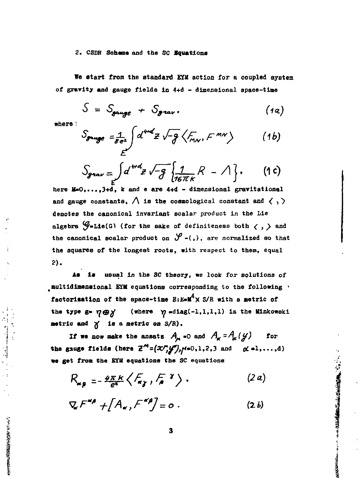#### 2. CSDR Scheme and the SC Equations

We start from the standard EYM action for a coupled system of gravity and gauge fields in 4+d - dimensional space-time

$$
S = S_{gauge} + S_{grav}, \qquad (1a)
$$

where !

A Second Association of the Association of the Contract of the Contract of the Contract of

$$
S_{\text{grauge}} = \frac{1}{8e^2} \int d^{4rd} z \sqrt{-g} \left\langle F_{\text{max}}, F^{\text{max}} \right\rangle \qquad (1b)
$$

$$
S_{grav} = \int d^{md}z \sqrt{-g} \left\{ \frac{1}{16\pi k} R - \Lambda \right\}. \qquad (1c)
$$

here M=0,...,3+d, k and e are 4+d - dimensional gravitational and gauge constants,  $\bigwedge$  is the cosmological constant and  $\langle , \rangle$ denotes the canonical invariant scalar product in the Lie algebra  $\mathcal{G}_{\bullet}$ Lie(G) (for the sake of definiteness both  $\langle , \rangle$  and the canonical scalar product on  $\mathcal{Y}$ -(,), are normalized so that the aquares of the longest roots, with respect to them, equal 2).

As is usual in the SC theory, we look for solutions of aultidimensional EYM equations corresponding to the following factorisation of the space-time  $E: E = M^4 \times S/R$  with a metric of the type  $g = \eta \oplus \gamma'$  (where  $\gamma = \text{diag}(-1,1,1,1)$  is the Minkowski metric and  $\gamma$  is a metric on  $S/R$ ).

If we now make the ansatz  $A_{\mu}=0$  and  $A_{\kappa}=A_{\kappa}(y)$  for the gauge fields (here  $\mathbb{Z}^M = (\mathcal{X}^M, \mathcal{Y}^M), \forall i=0,1,2,3$  and  $\alpha = 1, \ldots, d$ ) we get from the EYM equations the SC equations

$$
R_{\alpha\beta} = -\frac{4\pi k}{e^{\alpha}} \left\langle \mathcal{F}_{\alpha\gamma}, \mathcal{F}_{\alpha}^{\gamma} \right\rangle, \qquad (2a)
$$

$$
\nabla_{\mathbf{x}} F^{\mathbf{x}} + [A_{\mathbf{x}}, F^{\mathbf{x}}] = o . \qquad (2 b)
$$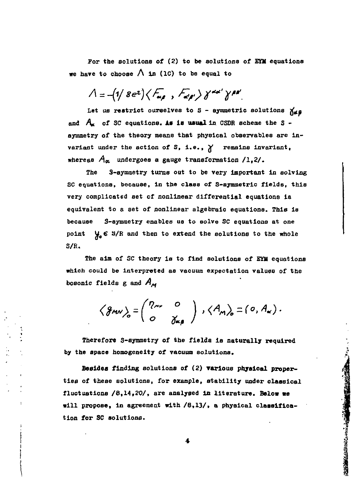For the solutions of  $(2)$  to be solutions of EYM equations we have to choose  $\bigwedge$  in (1C) to be equal to

$$
\Lambda = -(1/8e^{2})\langle F_{\alpha\beta} , F_{\alpha\beta'} \rangle \gamma^{\alpha\alpha'} \gamma^{\beta\beta'}
$$

Let us restrict ourselves to S - symmetric solutions  $\chi_{\mathbf{d},\mathbf{B}}$ and  $A_{t}$  of SC equations. As is usual in CSDR scheme the S symmetry of the theory meane that physical observables are invariant under the action of S, i.e.,  $\chi$  remains invariant, whereas  $A_{\alpha}$  undergoes a gauge transformation  $/1,2/$ .

The S-symmetry turns out to be very important in solving SC equations, because, in the class of S-symmetric fields, this very complicated set of nonlinear differential equations is equivalent to a set of nonlinear algebraic equations. This is because S-symmetry enables us to solve SC equations at one point  $\mathcal{Y}_o \in S/R$  and then to extend the solutions to the whole S/R.

The aim of SC theory is to find solutions of EYM equations which could be interpreted as vacuum expectation values of the bosonic fields g and  $A_M$ 

$$
\left\langle \mathcal{J}_{MN} \right\rangle_{o} = \begin{pmatrix} P_{\mu\nu} & o \\ o & \gamma_{\kappa\rho} \end{pmatrix} , \left\langle A_{M} \right\rangle_{o} = \left( o, A_{\kappa} \right).
$$

**Therefore S-eymmetry of the fields is naturally required by the space homogeneity of vacuum solutions.** 

**Besides finding solutions of (2) various physical properties of these solutions, for example, stability under classical fluctuations /8,14,20/, are analysed in literature. Below we will propose, in agreement with /8,13/, a physical classification for SC solutions.**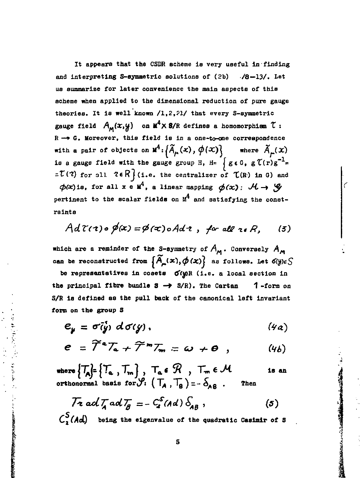It appears that the CSDR scheme is very useful in finding and interpreting S-symmetric solutions of (2b) /8-13/. Let us summarize for later convenience the main aspects of this scheme when applied to the dimensional reduction of pure gauge theories. It is well known /1,2,21/ that every S-symmetric gauge field  $A_M(x,y)$  on  $M^4 \times 3/R$  defines a homomorphism  $\tau$ :  $R \rightarrow G$ . Moreover, this field is in a one-to-one correspondence with a pair of objects on  $\mathbf{M}^4$ :  $\left\{ \widetilde{A}_{\mu}(\mathbf{x}), \phi(\mathbf{x}) \right\}$ where  $\widetilde{A}_{\mu}(x)$ is a gauge field with the gauge group H, H=  $\int g \epsilon G$ ,  $g \tau(r) g^{-1}$ =  $\mathcal{I}(7)$  for all  $2 \in \mathbb{R}$  (i.e. the centralizer of  $\mathcal{I}(R)$  in G) and  $\phi(x)$ is, for all x e M<sup>4</sup>, a linear mapping  $\phi(x)$ :  $\mathcal{H} \rightarrow \mathcal{G}$ pertinent to the scalar fields on  $M^4$  and satisfying the constrainta

$$
Ad\,\mathcal{C}(\tau)\circ\cancel{\phi}(x)=\cancel{\phi}(\tau)\circ Ad\,\tau\ ,\ \ \text{for all}\ \tau\,\epsilon\,R,\qquad(3)
$$

which are a reminder of the S-symmetry of  $A_{\mathbf{M}}$ . Conversely  $A_{\mathbf{M}}$ can be reconstructed from  $\left\{ \widetilde{A}_{\mu}(x), \phi(x) \right\}$  as follows. Let  $\delta(y) \in \mathcal{S}$ 

be representatives in cosets of wik (i.e. a local section in the principal fibre bundle  $S \rightarrow S/R$ ). The Cartan  $1$ -form on S/R is defined as the pull back of the canonical left invariant form on the group S

$$
e_y = \sigma(\dot{y}) \ d\sigma(y), \qquad (4a)
$$

$$
e = \widetilde{\mathcal{T}}^a \mathcal{T}_a + \widetilde{\mathcal{T}}^m \mathcal{T}_m = \omega + \Theta , \qquad (4b)
$$

where  $\left\{T_A\right\} = \left\{T_a, T_m\right\}$ ,  $T_a \in \mathcal{R}$ ,  $T_m \in \mathcal{M}$ <br>orthonormal basis for  $\mathcal{S}$ :  $(T_A, T_B) = -\delta_{AB}$ . is an Then

医血管反应 深 医复量法

A PARTICULAR CONTRACTOR AND THE CONTRACTOR CONTRACTOR

$$
\mathcal{T} z \text{ ad } \mathcal{T}_A \text{ ad } \mathcal{T}_B = - C_s^S (\text{Ad}) \, \delta_{AB} \,, \tag{5}
$$

 $C_2^S(Ad)$  being the eigenvalue of the quadratic Casimir of S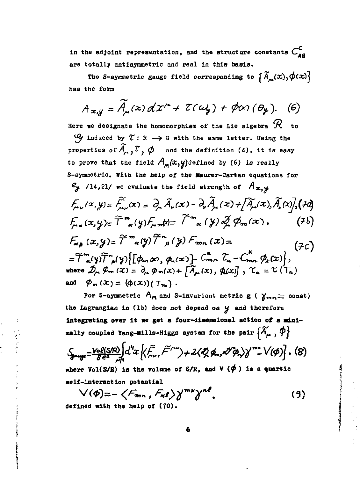in the adjoint representation, and the structure constants  $C_{AB}$ are totally antisymmetric and real in this basis.

The S-symmetric gauge field corresponding to  $\{\widetilde{A}_{\mu}(\bm{x}), \phi(\bm{x})\}$ has the form

$$
A_{x,y} = \widetilde{A}_{\mu}(x) dx^{\mu} + \mathcal{I}(a\lambda) + \phi(x) (\theta_{\mu}). \quad (6)
$$

Here we designate the homomorphism of the Lie algebra  ${\mathcal R}$  to  $\mathcal{Q}_j$  induced by  $\mathcal{C}: \mathbb{R} \longrightarrow \mathbb{G}$  with the same letter. Using the properties of  $\widetilde{A}_{\mu}$ ,  $\widetilde{C}$ ,  $\phi$  and the definition (4), it is easy to prove that the field  $A_{\mathcal{M}}(x,y)$  defined by (6) is really S-symmetric. With the help of the Maurer-Cartan equations for  $e_{y}$  /14,21/ we evaluate the field strength of  $A_{x,y}$  $f_{\mu\nu}(x,y) = \tilde{f}_{\mu\nu}(x) = \partial_{\mu}\tilde{A}_{\nu}(x) - \partial_{\nu}\tilde{A}_{\mu}(x) + \left[\tilde{A}_{\mu}(x), \tilde{A}_{\nu}(x)\right]$  $f_{\text{max}}(x, y) = \widetilde{T}^m_{\alpha}(y) f_{\text{min}}(x) = \widetilde{T}^m_{\alpha}(y) \partial_x^j \phi_m(x),$  $(7b)$  $F_{\alpha}$   $(x,y)$  =  $\widetilde{T}^{m}$   $_{\alpha}(y)$   $\widetilde{T}^{n}$   $_{\beta}(y)$   $F_{mn}(x)$  =  $(7c)$  $=\widetilde{\mathcal{T}}_{\alpha}^{m}(y)\widetilde{\mathcal{T}}_{\rho}^{m}(y)\big\{[\phi_{m}\,\alpha v,\,\phi_{n}(x)]-(\phi_{mn}\,\,\widetilde{\mathcal{L}}_{\alpha}-\mathcal{C}_{mn}\,\,\phi_{k}(x)\big\},$ where  $\mathcal{D}_{\mu}$ ,  $\varphi_{m}(x) = \partial_{\mu} \varphi_{m}(x) + \sqrt{A}_{\mu}(x), \varphi(x)$ ,  $\mathcal{T}_{\alpha} = \mathcal{T}(T_{\alpha})$ and  $\phi_m(x) = (\phi(x))(T_m)$ .

For S-symmetric  $A_M$  and S-invariant metric  $g$  ( $\gamma_{mn}$  = const) the Lagrangian in (1b) does not depend on y and therefore integrating over it we get a four-dimensional action of a minimally coupled Yang-Mills-Higgs system for the pair  $\{\widetilde{A}_{\mu}\, , \, \phi\}$ 

$$
\mathcal{S}_{\text{p--p}} = \frac{\text{Vol}(SP)}{\text{Re} \, \mathcal{N}} \Big[ d^4x \Big\{ \langle \tilde{F}_\mu, \tilde{F}^{\mu\nu} \rangle + 2 \langle \tilde{Q} | \phi_\mu, \partial^{\nu} \phi_\nu \rangle \Big\}^{\text{max}} \cdot \sqrt{\langle \phi \rangle} \Big], \quad (8)
$$

where Vol(S/R) is the volume of S/R, and V ( $\phi$ ) is a quartic self-interaction potential

$$
\bigvee (\phi) = -\left\langle F_{mn}, F_{n\ell} \right\rangle \bigvee^{mn} \bigvee^{n\ell} .
$$
 (9)  
defined with the help of (70).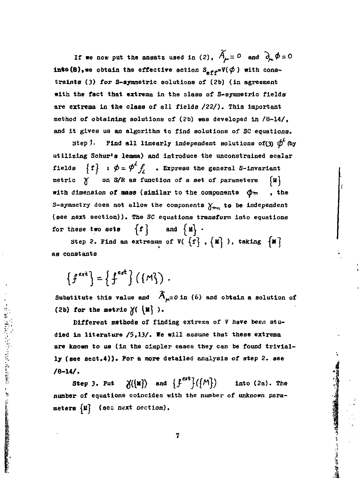**If we now put the ansatz used in (2),**  $\widetilde{A}_{\mu} = 0$  and  $\partial_{\mu} \phi = 0$ **into (8), we obtain the effective action**  $S_{eff} = V(\phi)$  **with constralnts (3) for S-aymraetric solutions of (2b) (in agreement with the fact that extreme in the class of S-aymmetric fields are extreme in the class of al l fields /22/) . This Important method of obtaining solutions of (2b) was developed in /8-14/ , and it gives us an algorithm to find solutions of SC equations.** 

Step 1. Find all linearly independent solutions of(3)  $\phi^{\prime}$  (by **utilizing Scour's lemma) and introduce the unconstrained scalar fields**  $\{f\}$  :  $\phi = \phi^L f$ , . Express the general S-invariant **metric Y on S/R as function of a set of parameters fll]**  with dimension of mass (similar to the components  $\phi_m$ , the S-symmetry does not allow the components  $\chi_{m}$  to be independent **(see next section)). The SC equations transform into equations**  for these two sets  $\{f\}$  and  $\{M\}$ .

Step 2. Find an extremum of  $V([f], {K})$ , taking  ${K}$ **as conatanta** 

 $\{f^{ext}\} = \{f^{ext}\} (\{M\})$ .

この「そのことになっている」ということになると、そのことを見ると、「そのことを見るので、「そのこと」ということになっている。

Substitute this value and  $\widehat{A}_{\mu}$ =0 in (6) and obtain a solution of (2b) for the metric  $\chi(\{u\})$ .

**Different methods of finding extrexa of** *V* **have been stu**died in literature /5,13/. We will assume that these extrema **are known to us (in the simpler cases they can be found triviall y (aee sect.4)). For a more detailed analysis of step 2. see /8-14/ .** 

**Step 3. Put**  $\mathcal{J}(\lbrace \mathbf{M} \rbrace)$  and  $\{f^{ext}\}(\lbrace M \rbrace)$  into (2a). The **number of equations coincides with the number of unknown parameters** *Ы]* **(ses next section).** 

**7** 

「大学のことのことを、これに、これに、このことを、「大学のことを、このことを、「大学のことを、このことを、「このことを、」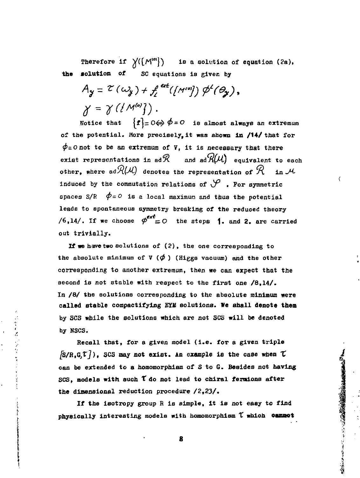Therefore if  $\chi((M^{\text{[0]}}))$  is a solution of equation (2a), **the solution of** SC equations is given by

 $A_y = \mathcal{E}(\omega_y) + f^{ext}(M^{\omega}) \phi^t(\theta_y),$  $\chi = \chi(\{M^{\omega}\})$ .

Notice that  $\{f\}=0 \Leftrightarrow \phi = 0$  is almost always an extremum of the potential. More precisely, it was shown in /14/ that for  $\phi$ =Onot to be an extremum of V, it is necessary that there exist representations in  $ad\mathcal{R}$  and  $ad\mathcal{R}(\mu)$  equivalent to each other, where  $\mathsf{ad}\mathcal{R}(\mathcal{M})$  denotes the representation of  $\mathcal{R}-$  in  $\mathcal{M}$ induced by the commutation relations of  $\mathcal P$  . For symmetric spaces  $S/R$   $\phi = 0$  is a local maximum and thus the potential leads to spontaneous symmetry breaking of the reduced theory /6,14/. If we choose  $\varphi^{ext} = O$  the steps **1.** and **2.** are carried out trivially.

If we have two solutions of (2), the one corresponding to the absolute minimum of  $V$  ( $\phi$ ) (Higgs vacuum) and the other corresponding to another extremum, then we can expect that the second is not stable with respect to the first one /8.14/. In /8/ the solutions corresponding to the absolute minimum were called stable compactifying EYM solutions. We shall denote them by SCS while the solutions which are not SCS will be denoted by HSCS.

Recall that, for a given model (i.e. for a given triple  $[**S/R**, **G**, **T**]$ ), SCS may not exist. An example is the case when  $\tau$ can be extended to a homomorphiam of S to G. Besides not having SCS, models with such **Y** do not lead to chiral fermions after the dimensional reduction procedure /2,23/ .

かくしょう アイティー

If the isotropy group  $R$  is simple, it is not easy to find physically interesting models with homomorphism  $\tilde{\tau}$  which cannot

**8** 

「今日は国家の事実を大きなので、「大きなので、そうなので、そうなので、そうなので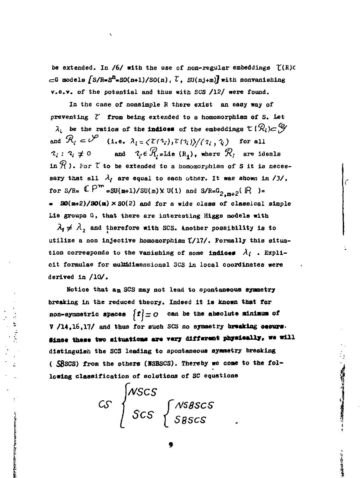be extended. In /6/ with the use of non-regular embeddings  $\mathcal{L}(R)$ c  $\subset$ G models  $\int S/R=S^{n}$ =SO(n+1)/SO(n),  $\mathcal{L}$ , SU(nj+m) with nonvanishing v.e.v. of the potential and thus with SCS /12/ were found.

In the case of nonsimple R there exist an easy way of preventing  $\zeta$  from being extended to a homomorphism of S. Let  $\lambda_i$  be the ratios of the indices of the embeddings  $\mathfrak{C}(\mathcal{R}_i) \subset \mathcal{G}$ and  $\mathcal{R}_i \subset \mathcal{V}$  (1.e.  $\lambda_i = \langle \mathcal{I}(\lambda_i), \mathcal{I}(\lambda_i) \rangle / (\lambda_i, \lambda_i)$  for all  $\gamma_i : \gamma_i \neq 0$  and  $\gamma_i \in \mathcal{R}_i$  = Lie  $(\mathbb{R}_i)$ , where  $\mathcal{R}_i$  are ideals in  $\mathcal R$ ). For  $\mathfrak r$  to be extended to a homomorphism of S it is necessary that all  $\lambda_l$  are equal to each other. It was shown in /3/, for  $S/R = \mathbb{C} P^m = SU(m+1)/SU(m) \times U(1)$  and  $S/R = G_{2,m+2}(\mathbb{R}) =$  $\approx$  80(m+2)/80(m)  $\times$  80(2) and for a wide class of classical simple Lie groups G, that there are interesting Higgs models with

 $\lambda_1 \neq \lambda_2$  and therefore with SCS. Another possibility is to utilize a non injective homomorphism (/17/. Formally this situation corresponds to the vanishing of some indices  $\lambda_i$ . Explicit formulae for multidimensional SCS in local coordinates were derived in /10/.

Notice that an SCS may not lead to spontaneous symmetry breaking in the reduced theory. Indeed it is known that for non-symmetric spaces  $\{f\}=O$  can be the absolute minimum of V /14.16.17/ and thus for such SCS no symmetry breaking occurs. Since these two situations are very different physically, we will distinguish the SCS leading to spontaneous symmetry breaking (SBSCS) from the others (NSBSCS). Thereby we come to the following classification of solutions of SC equations

**Communication** 

 $CS$   $\begin{cases} NSCS \\ SCS \end{cases}$   $\begin{cases} NSBSCS \\ SBSCS \end{cases}$ 

contact the contact and a statement of the contact of the contact of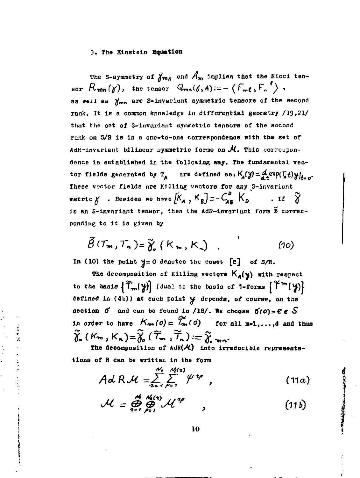#### **3 . The Einstein Equation**

The S-symmetry of  $\gamma_{mn}$  and  $A_m$  implies that the Kicci ten**sor**  $\kappa$ <sub>*mn*</sub>(*γ*), the tensor  $\kappa$ <sub>*mn*</sub>(*γ*,*A*):= - {*r<sub>m</sub>t*,*r*<sub>*n*</sub> *}* **aa well as J^mn are S-invariant symmetric tensors of the second rank. It is a common knowledge in differential geometry /19,21 / that the set of S-invariant symmetric tensors of the second rank on S/R is in a one-to-one correspondence with the set of AdR-inveriant bilinear yyranetric forms on** *J4..* **This correupondence is established in the following way. The fundamental vec**tor fields generated by  $T_A$  are defined as:  $K_A(y) = A \cdot \exp(T_A t) \cdot y \cdot y \cdot$ **These vector fields are Killing vectors for any S-ir.varient metric У . Besides we hsve** *1К* **,** *^Bj~~ лв* **^D "<sup>I</sup> <sup>f</sup> 0 ie an S-invariant tensor, then the AdR—inrariant form В corresponding to it is given by** 

$$
\widetilde{\beta}(\mathcal{T}_m, \mathcal{T}_n) = \widetilde{\gamma}_s \left( K_m, K_n \right) \quad . \tag{10}
$$

In (10) the point  $y = 0$  denotes the coset  $[e]$  of  $S/R$ .

**The decomposition of Killing vectore K<sub>A</sub>(y) with respect to the basis**  $\{T_m^{\prime\prime}\}\$  (dual to the basis of 1-forms  $\{T^m(\mathcal{Y})\}$ **defined in (4b)) at each point** *4* **depends, of course,** *on the*  section  $\sigma$  and can be found in /18/. We choose  $\sigma$ (0) =  $e \in S$ **in order to have**  $K_{\mathbf{m}}(o) = \widetilde{\mathcal{T}}_{\mathbf{m}}(o)$  for all  $\mathfrak{m} \in \{1, \ldots, d\}$  and thus  $\widetilde{\mathfrak{F}}_{\bullet}(\mathcal{K}_{m},\mathcal{K}_{n})=\widetilde{\mathfrak{F}}_{\bullet}(\widetilde{\mathcal{T}}_{m},\widetilde{\mathcal{T}}_{n}):=\widetilde{\mathfrak{F}}_{\bullet,mn}.$ The decomposition of AdR( $\mathcal{H}$ ) into irreducible representa-

**tions of R can be written in the form** 

$$
\mathsf{Ad}\,R\,\mathcal{M}=\sum_{i=1}^{N_{\text{r}}}\sum_{\rho=1}^{N_{\text{H}}(2)}\psi^{i\varphi}\,,\tag{11a}
$$

$$
\mathcal{M} = \bigoplus_{i=1}^{M} \bigoplus_{p=1}^{M_i(x)} \mathcal{M}^{np} \qquad (11b)
$$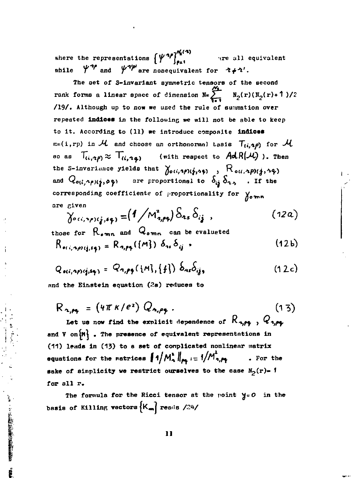where the representations  $\{\psi^{\alpha} \}_{\rho=1}^{N_{\alpha}(\alpha)}$  are all equivalent  $\psi^{n_p}$  and  $\psi^{n_p}$  are nonequivalent for  $\psi^{n_p}$ .  $while$ 

The set of S-invariant symmetric tensors of the second rank forms a linear space of dimension  $N = \sum_{r=1}^{M_1} N_2(r) (N_2(r) + 1)/2$ /19/. Although up to now we used the rule of summation over repeated indices in the following we will not be able to keep to it. According to (11) we introduce composite indices  $m=(i, rp)$  in  $M$  and choose an orthonormal tasis  $T_{(i, np)}$  for  $M$ so as  $T_{(i,2p)} \approx T_{(i,2q)}$  (with respect to  $AdR(\mathcal{M})$ ). Then the S-invariance yields that  $\delta_{\alpha(i,2)}(i,3)}$ ,  $R_{\alpha(i,2)}(i,3)}$ <br>and  $Q_{\alpha(i,2)}(i,3)}$  are proportional to  $\delta_{ij} \delta_{23}$ . If the corresponding coefficients of proportionality for  $\gamma_{\text{omn}}$ are given

$$
\gamma_{\alpha\alpha,\gamma\gamma\gamma;\mathbf{i}_{\mathbf{j}},\mathbf{i}_{\mathbf{\hat{p}}}} = (1/\mathsf{M}_{\mathbf{a},\mathbf{p}\mathbf{q}}^2) \delta_{\mathbf{a}\mathbf{s}} \delta_{\mathbf{i}\mathbf{j}} \quad , \tag{12a}
$$

 $(12b)$ 

those for R<sub>omn</sub> and Qomn can be evaluated  $R_{\sigma(i, \tau\rho)(j, s_0)} = R_{\sigma_i \rho_j}(\lbrace M \rbrace) \delta_{\tau i} \delta_{ij}$ 

$$
Q_{\sigma(i_1 \gamma_1) i_1 \gamma_1} = Q_{\sigma_i \rho \gamma} (\{\mu\}, \{f\}) \delta_{\alpha r} \delta_{ij}, \qquad (12c)
$$

and the Einstein equation (2a) reduces to

1.4 · 三、 各種的な場合の場所を

$$
R_{\gamma,\rho_{\phi}} = (4\pi \kappa/e^{2}) Q_{\gamma,\rho_{\phi}}.
$$
 (13)

Let us now find the explicit dependence of  $K_{\gamma,\rho\phi}$ ,  $K_{\gamma,\rho\phi}$ and  $V$  on  $\{M\}$ . The presence of equivalent representations in (11) leads in (13) to a set of complicated nonlinear matrix equations for the matrices  $||1/M_A^2||_{pq} := 1/M_{n,pq}^2$ . For the sake of simplicity we restrict ourselves to the case  $N_2(r)$ - f for all r.

The formula for the Ricci tensor at the point  $y=0$  in the basis of Killing vectors  $\{K_m\}$  reads /24/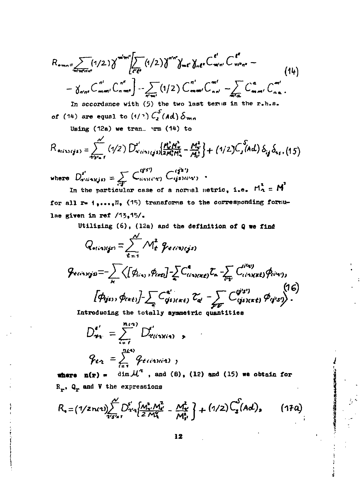$$
R_{\bullet m n} = \sum_{\pi i = \pi i \pi n} (1/2) \gamma^{\pi i m i} \left[ \sum_{e' \in e} (1/2) \gamma^{\pi i n i} \gamma_{m e'} \gamma_{m e'} C^{\epsilon'}_{m i n i} C^{\epsilon'}_{m i n i} - \gamma_{m i n} C^{\epsilon'}_{m i n i} C^{\epsilon'}_{m i n i} C^{\epsilon'}_{m i n i} \right]
$$
\n
$$
- \gamma_{\pi i n i} C^{\epsilon i}_{m m i} C^{\epsilon i}_{n m i} C^{\epsilon i}_{m i n i} C^{\epsilon i}_{m i n i} C^{\epsilon i}_{m i n i} C^{\epsilon i}_{m i n i} C^{\epsilon i}_{m i n i} C^{\epsilon i}_{m i n i} C^{\epsilon i}_{m i n i} C^{\epsilon i}_{m i n i} C^{\epsilon i}_{m i n i} C^{\epsilon i}_{m i n i} C^{\epsilon i}_{m i n i} C^{\epsilon i}_{m i n i} C^{\epsilon i}_{m i n i} C^{\epsilon i}_{m i n i} C^{\epsilon i}_{m i n i} C^{\epsilon i}_{m i n i} C^{\epsilon i}_{m i n i} C^{\epsilon i}_{m i n i} C^{\epsilon i}_{m i n i} C^{\epsilon i}_{m i n i} C^{\epsilon i}_{m i n i} C^{\epsilon i}_{m i n i} C^{\epsilon i}_{m i n i} C^{\epsilon i}_{m i n i} C^{\epsilon i}_{m i n i} C^{\epsilon i}_{m i n i} C^{\epsilon i}_{m i n i} C^{\epsilon i}_{m i n i} C^{\epsilon i}_{m i n i} C^{\epsilon i}_{m i n i} C^{\epsilon i}_{m i n i} C^{\epsilon i}_{m i n i} C^{\epsilon i}_{m i n i} C^{\epsilon i}_{m i n i} C^{\epsilon i}_{m i n i} C^{\epsilon i}_{m i n i} C^{\epsilon i}_{m i n i} C^{\epsilon i}_{m i n i} C^{\epsilon i}_{m i n i} C^{\epsilon i}_{m i n i} C^{\epsilon i}_{m i n i} C^{\epsilon i}_{m i n i} C^{\epsilon i}_{m i n i} C^{\epsilon i}_{m i n i} C^{\epsilon i}_{m i n i} C^{\epsilon i}_{m i n i} C^{\epsilon i}_{m i n i} C^{\epsilon i}_{m i n i} C^{\epsilon i}_{m i n i} C^{\epsilon i}_{m i n i} C^{\epsilon i}_{m i n i} C^{\epsilon i}_{m i n i} C^{\epsilon i}_{m i
$$

In accordance with  $(5)$  the two last terms in the r.h.s. of (14) are equal to  $(1)^{n}$ )  $C_2^S(Ad) \delta_{mn}$ 

Using  $(12a)$  we tran.  $\mathbf{r}$ m  $(14)$  to

$$
R_{oisycjs} = \sum_{s:s=s}^{N} (1/2) D_{s':i(s):j(s)}^{s'} \left[ \frac{\mu_{s}^{s} \mu_{s}^{s}}{2 \mu_{s}^{s} \mu_{s}^{s}} - \frac{\mu_{s}^{s}}{\mu_{s}^{s}} \right] + (1/2) C_{s}^{s'} \left( \text{Ad} \right) \delta_{ij} \delta_{s s}, (15)
$$

where  $D^{s'}_{a'ia'ajis} = \sum_{i'j'} C^{(i'j')}_{a'mi'aj'} C^{(i'j')}_{ijs'i'a'j}$ .

In the particular case of a normal metric, i.e.  $M_2^{\mathbf{t}} = M^{\mathbf{t}}$ for all r= 1,..., N, (15) transforms to the corresponding formulae given in ref /13,15/.

Utilizing (6), (12a) and the definition of Q we find

$$
Q_{\text{e}^{i}(\text{e}^{i} \text{e}^{j})} = \sum_{t=1}^{N} M_{t}^{2} \varphi_{\text{e}^{i}(\text{e}^{i} \text{e}^{j})}
$$
\n
$$
\varphi_{\text{e}^{i}(\text{e}^{i} \text{e}^{j})} = \sum_{k} \left\langle \left[ \phi_{i\kappa_{1}}, \phi_{\text{e}^{i} \text{e}^{j}} \right] - \sum_{k} C_{i\kappa_{k}}^{i} \zeta_{\text{e}^{i}(\text{e}^{j} \text{e}^{j})} \zeta_{\text{e}^{i}} - \sum_{\ell \neq j} C_{i\kappa_{k}}^{i\ell_{k}} \zeta_{\ell_{k}}^{i\ell_{k}} \varphi_{\ell_{k}}^{i\ell_{k}} \right\rangle, \qquad (16)
$$
\n
$$
\left[ \phi_{\text{e}^{i}(\text{e}^{j})}, \phi_{\text{e}^{i}(\text{e}^{j})} \right] - \sum_{k} C_{i\kappa_{k}}^{i\ell_{k}} \zeta_{\text{e}^{k}} \zeta_{\ell_{k}} - \sum_{\ell \neq j} C_{i\kappa_{k}}^{i\ell_{j}} \zeta_{\ell_{k}} \varphi_{\ell_{j}}^{i\ell_{k}} \right\rangle.
$$

Introducing the totally symmetric quantities

$$
D_{\mathbf{r}_1}^{\epsilon'} = \sum_{i=1}^{n_i \cdot \epsilon_i} D_{\mathbf{r}(i \cdot \mathbf{y}(i \cdot \mathbf{y})}^{\epsilon'} ,
$$
  

$$
Q_{\epsilon \cdot \mathbf{r}_1} = \sum_{i=1}^{n_i \cdot \epsilon_i} Q_{\epsilon(i \cdot \mathbf{y}(i \cdot \mathbf{z})} ,
$$

where  $p(r) = \dim \mathcal{H}^2$ , and (8), (12) and (15) we obtain for  $R_r$ ,  $Q_r$  and V the expressions

$$
R_{\bullet} = (1/2 n \alpha) \sum_{i' s' = 1}^{\mathcal{N}} D_{i' s}^{s'} \left\{ \frac{M_{i'}^{2} M_{i'}^{2}}{2 M_{i}^{2}} - \frac{M_{i'}^{2}}{M_{i'}^{2}} \right\} + (1/2) C_{2}^{s'}(A d), \qquad (17a)
$$

「地域の主の地域の人物」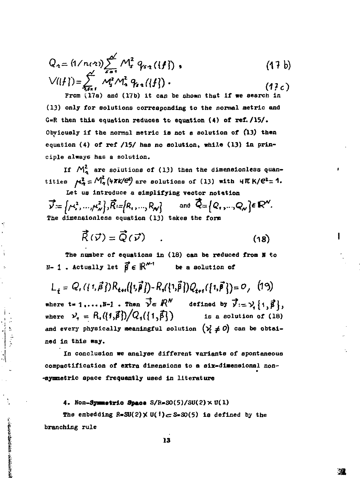$$
Q_{2} = (1/n(2)) \sum_{s=1}^{\infty} M_{s}^{2} q_{s-1}(\{f\})
$$
\n
$$
\sqrt{(\{f\})} = \sum_{s=1}^{\infty} M_{s}^{2} M_{s}^{2} q_{s-1}(\{f\})
$$
\n
$$
(17c)
$$

From  $(17a)$  and  $(17b)$  it can be shown that if we search in (13) only for solutions corresponding to the normal metric and G=R then this equation reduces to equation  $(4)$  of ref. /15/. Obviously if the normal metric is not a solution of (13) then equation (4) of ref /15/ has no solution, while (13) in principle always has a solution.

If  $M_2^2$  are solutions of (13) then the dimensionless quantities  $\mu^2_2 = M^2(\psi \pi k / \mathcal{C}^2)$  are solutions of (13) with  $\psi \pi k / \mathcal{C}^2 = 1$ .

Let us introduce a simplifying vector notation  $\vec{v} = (\mu^2, ..., \mu^2)$ ,  $\vec{R} = \{R_1, ..., R_N\}$  and  $\vec{Q} = \{Q_1, ..., Q_N\} \in \mathbb{R}^N$ . The dimensionless equation (13) takes the form

$$
\vec{R}(\vec{v}) = \vec{Q}(\vec{v}) \qquad (18)
$$

The number of equations in (18) can be reduced from N to  $N-1$ . Actually let  $\vec{\beta} \in \mathbb{R}^{N-1}$ be a solution of

 $L_{+} = Q_{1}(\{1,\vec{\beta}\})R_{\{1\}}(\{1,\vec{\beta}\}) - R_{1}(\{1,\vec{\beta}\})Q_{\{1\}}(\{1,\vec{\beta}\}) = 0$ , (19) where  $t = 1, ..., H-1$ . Then  $\vec{y} \in \mathbb{R}^N$  defined by  $\vec{y} := y_i \{1, \vec{\beta}\},$ <br>where  $y_i = R_i(\{1, \vec{\beta}\})/Q_i(\{1, \vec{\beta}\})$  is a solution of (18) and every physically meaningful solution  $(\gamma \neq 0)$  can be obtained in this way.

In conclusion we analyse different variants of spontaneous compactification of extra dimensions to a six-dimensional non--symmetric space frequently used in literature

#### 4. Non-Symmetric Space  $S/R = SO(5)/SU(2) \times U(1)$

**CONTRACT AND ACCEPTANCES** 

The embedding  $R = SU(2) \times U(1) \subset S = SO(5)$  is defined by the branching rule

溴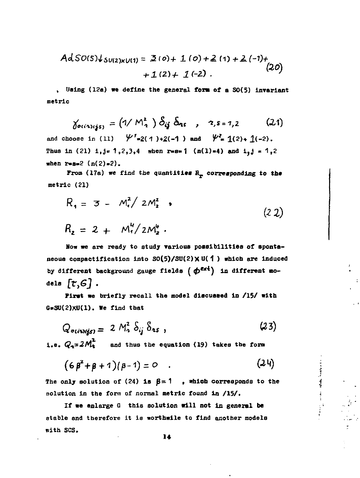$$
AdSO(5)\downarrow_{SU(2)\times U(1)} = \mathfrak{2}(0) + 1(0) + \mathfrak{2}(1) + \mathfrak{2}(-1) + (20)
$$
  
+1(2) + 1(-2).

**, Using (12a) we define the general font of a S0(5) Invariant metric** 

 $\delta$ <sub>oc</sub>(*x*)<sub>(*is*</sub>) = (1/  $M^2$ <sub>1</sub>)  $S_{ij}$   $S_{ns}$ ,  $z$ , *s*= 1, 2 (21) and choose in (11)  $\psi'_{-2}$ (1)+2(-1) and  $\psi_{-1}$  1(2)+ 1(-2). Thus in (21)  $1, j = 1, 2, 3, 4$  when  $r = s = 1$  (n(1)=4) and  $i_{0}j = 1, 2$ when  $r = s = 2$   $(n(2) = 2)$ .

**From (17a) we find the quantities H\_ correeponding to the metric (21)** 

$$
R_1 = 3 - M_1^2 / 2M_2^2
$$
  
\n
$$
R_2 = 2 + M_1^4 / 2M_2^2
$$
 (22)

**Now we are ready to study various possibilities of spontaneous compactiflcation Into S0(5)/3U(2)x U( 1 ) which are induced**  by different background gauge fields ( $\phi^{\text{ext}}$ ) in different mo**dels** *[ttG]* **.** 

**First we briefly recall the model discussed In /15/ with G-3U(2)XU(1). We find that** 

$$
Q_{\text{outwigs}} = 2 M_{\text{a}}^2 \delta_{ij} \delta_{\text{as}}, \qquad (23)
$$

**i.e.**  $Q_a = 2M_a^2$  and thus the equation (19) takes the form

$$
(\epsilon \beta^2 + \beta + 1)(\beta - 1) = 0 \qquad (24)
$$

**The State of the State of State of the State of State of State** 

The only solution of (24) is  $\beta = 1$ , which corresponds to the **solution In the form of normal metric found In /15/.** 

If we enlarge G this solution will not in general be **stable and therefore it is worthwlle to find another models with SCS.**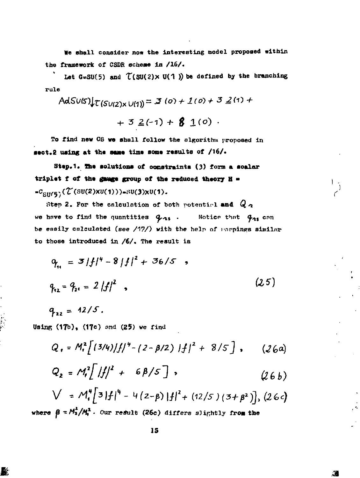**We shall consider now the interesting model proposed within the framework of CSDR scheme in /16/ .** 

Let  $G \approx SU(5)$  and  $\mathcal{T}(SU(2) \times U(1))$  be defined by the branching **rule** 

$$
AdSUS \downarrow^{\mathcal{L}}(SU(2) \times U(1)) = \mathbf{3} (0) + 1(0) + 3 \leq (1) + 1
$$

$$
+ 3 \le (-1) + 8 \le (0)
$$
.

To find **new** GS **we** shall follow the algorithm proposed in **sect. using at the same time some results of /16/.** 

**Stap.1. the solutions of constraints (3)** form **a scalar triplet f of the gauge group of the reduced theory H •**  =C<sub>SU(5)</sub>(L(SU(2)XU(1)))=SU(3)XU(1).

Step 2. For the calculation of both potential and  $Q_{\mathcal{A}}$ we have to find the quantities  $q_{13}$ . Notice that  $q_{23}$  can be easily calculated (see  $/17/$ ) with the help of parpings similar to those introduced in **/6/.** The result is

$$
Q_{11} = 3 |f|^{4} - 8 |f|^{2} + 36/5 ,
$$
  
\n
$$
Q_{12} = Q_{21} = 2 |f|^{2} ,
$$
 (25)

 $q_{12} = 12/5$ .

**UsinR (17b), (17c) and (25) we rind** 

$$
Q_{1} = M_{1}^{2} \left[ (3/4) / f /^{4} - (2 - \beta/2) / f /^{2} + 8/5 \right], \qquad (26a)
$$

$$
Q_2 = M_t^2 \left[ \frac{|f|}{2} + 6\beta/5 \right], \qquad (26b)
$$

$$
V = M_{\bullet}^4 [3|f|^4 - 4(2-\beta)|f|^2 + (12/5)(3+\beta^2)], (26\epsilon)
$$

 $\mathcal{L}$ 

**where**  $\beta = M_1 / M_1$ . Our result (26c) differs slightly from the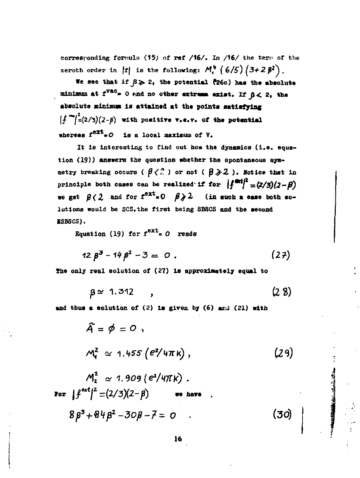corresponding formula (15) of ref /16/. In /16/ the term of the zeroth order in |t| is the following:  $M_r^{\mu}$  (6/5)  $(3+2\beta^2)$ .

We see that if  $\beta \geqslant 2$ , the potential (26c) has the absolute minimum at  $r^{vac} = 0$  and no other extrema exist. If  $\beta < 2$ , the absolute minimum is attained at the points satisfying  $\left|\int_{-\infty}^{\infty} f(z/\tau)(z-\beta) \right|$  with positive v.e.v. of the potential whereas  $f^{ext} = O$  is a local maximum of  $V$ .

It is interesting to find out how the dynamics (i.e. equation (19)) answers the question whether the spontaneous symmetry breaking occurs ( $\beta \langle . \rangle$ ) or not ( $\beta \geqslant 2$ ). Notice that in principle both cases can be realized if for  $\int_{0}^{x} \frac{dx}{x} dx = \frac{2}{3}(2-\beta)$ we get  $\beta$  ( 2 and for  $f^{\text{ext}} = 0$   $\beta \ge 2$  (in such a case both solutions would be SCS, the first being SBSCS and the second ESBSCS).

Equation (19) for  $f^{ext} = 0$  reads

$$
12 \beta^3 - 14 \beta^2 - 3 = 0 \ . \tag{27}
$$

The only real solution of (27) is approximately equal to

$$
\beta \approx 1.312 \qquad , \qquad (2.8)
$$

and thus a solution of (2) is given by (6) and (21) with

$$
\hat{A} = \phi = 0,
$$
\n
$$
M_{4}^{2} \approx 1.455 (e^{2}/4\pi k),
$$
\n
$$
M_{2}^{2} \approx 1.909 (e^{2}/4\pi k).
$$
\n
$$
\text{For } |f^{\text{ext}}|^{2} = (2/3)(2-\beta) \quad \text{we have}
$$
\n
$$
8\beta^{3} + 84\beta^{2} - 30\beta - 7 = 0.
$$
\n(30)

「その日本の大学のことをいくらいという」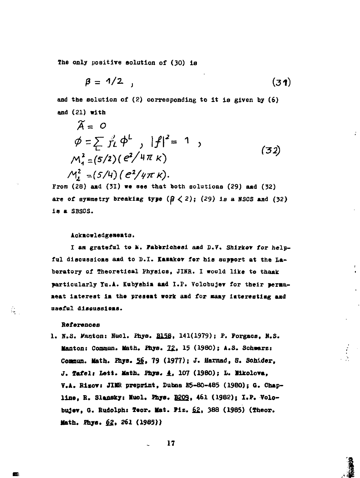**The only positive solution of (30} ia** 

$$
\beta = 1/2 \quad , \tag{31}
$$

**and the solution of (2) corresponding to it is given by (6) and (21) with** 

$$
\widetilde{A} = 0 \n\phi = \sum_{i=1}^{\infty} \frac{d}{i!} \phi^{i} , |f|^{2} = 1 ,
$$
\n
$$
M_{1}^{2} = (5/2) (e^{2}/4\pi \kappa) \nM_{2}^{2} = (5/4) (e^{2}/4\pi \kappa).
$$
\n(32)

**From (28) aad (31) we see that both solutions (29) aad (32)**  are of symmetry breaking type  $(\beta \leq 2)$ ;  $(29)$  is a NSCS and  $(32)$ **is a SBSCS.** 

#### **ACkaowledgeneate.**

I am grateful to **k**. **Faberichesi** and D.V. Shirkey for helpful discussions and to D.I. Kasakov for his support at the La**boratory of Theoretical Physics, JINR. I would like to thaak**  particularly Yu.A. Kubyshim and I.P. Volobujev for their perma**aeat laterest ia the presaat work aad for aaay iatereatiag aad useful diaeuaslaas.** 

#### **References**

1. N.S. Wanton: Nucl. Phys. **B158**, 141(1979); P. Forgacs, N.S. **Hanton: Commun. Math. Phys.** *22.,* **15 (1980); A.S. Schaarz: Contoun. Hath. Pays. 56» 79 (1977); J. Harnad, S. Schider, J. Tafel; Lett. Math. Phys. A. 107 (I960); L. likolova, Т.Л. Risovi JIKR preprint, Dubna E5-80-485 (I960); a. Chap**line, R. Slansky: Mucl. Phys. **B202**, 461 (1982); I.P. Volo**bujev, G. Rudolph: Teor. Hat. Piz. £2, 388 (1985) (Theor. Math. Pays. £2, 261 (1985))** 

**17** 

Q.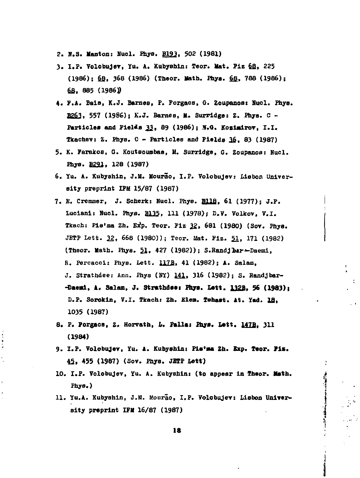- **2. H.S. Kanton: Hucl. Fhye. B193. 502 (1981)**
- **3 . I.F. Volobujev, Yu. A. Xubyshln: Teor. Hat. Flz 6\_fl, 225 (1986); 6\_fi, 368 (1986) (Theor. Hath. Fhya. fig, 788 (1986); 6fi, 885 (1986))**
- **4. F.A. Bala, K.J. Barnes, F. Forgaoa, Q. Zoupanos: Hucl. Fhye. B2£3. 557 (1986); K.J. Barnes, H. Surridge: Z. Fhya. С -** Particles and Fields 33, 89 (1986); N.G. Kozimirov, I.I. **Tkachev:** *Z.* **Fhys. С - Particles and Fields 36, 83 (1987)**
- **5. K. Farakos, Q. Koutsoumbaa, И. Surridge, G. Zoupanoe: Nucl. Fhys.** *S231,* **128 (1987)**
- **6. Yu. A. Kubyshin, J.M. Mourio, I.F. Volobujev: Lisbon Universit y preprint IFM 15/87 (1987)**
- **7. E. Cremmer, J. Scberk: Nucl. Fhys. fillfi, 61 (1977); J.F. Luciani: Hucl. Phye. B125, H I (1978); D.V. Volkov, V.I. Tkach: Pls'ma Zh. E^p. Teor. Flz 22» 681 (1980) (Sov. Phye. JETF Lett. 22, 668 (1980)); Teor. Mat. Fiz . 51, 171 (1982) (Theor. Math. Phye. 51, 427 (1982)); S.Handjbir-^Daemi, E. Percacci: Phys. Lett, UZB, 41 (1982); A. Salam, J. Strathdee: Ann. Phys (HY) 141, 316 (1982); S. Randjbar- -Daeal, A. Salam, J. Strathdeej Phye. Lett. 1228, 56 (1983); D.P. Sorokin, V.I. Tkach: Zh. Е1ев. Tehaet. At. lad. Ifl, 1035 (1987)**
- **8. P. Forgaca, Z. Horvath,** *h.* **Pallas Phya. Lett. 147B. 311 (1984)**
- 9. I.P. Volobujev, Yu. A. Kubyshin: Pis'ma Zh. Exp. Teor. Fiz. **45, 455 (1987) (Sov. Fhye. JETP Lett)**
- **10. I.P. Volobujev, Yu. A. Kubyshini (to appear in Theor. Math. Phye.)**
- **11. Yu.A. Xubyshln, J.II. Uourao, I.F. Volobujev: Lisbon Universit y preprint IFII 16/87 (1987)**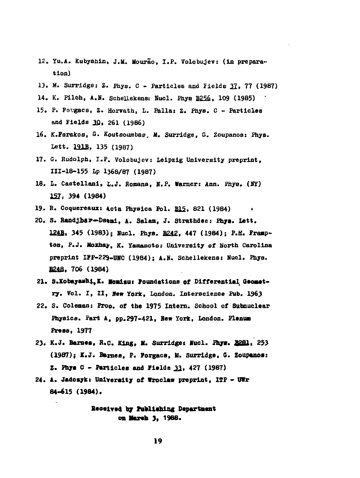- **12. Yu.A. Kubyahin, J.li. Uourao, I.P. Volobujev: (in preparation)**
- **13. M. Surridge: Z. Phys. С Particles and Fields** *21,* **77 (1987)**
- **14. K. Pilch, A.N. Schellekens: Nucl. Phye B25£, 109 (1985)**
- **15. P. Fovgacs, Z. Horvath, L. Palla: Z. Fhys. С Particles and Fields ЗД, 261 (1986)**
- **16. K.Farakos, G. Koutaoumbae. It. Surridge, G. Zoupanos: Phys. Lett. 121B, 135 (1987)**
- **17. G. Rudolph, I.P. Volobujev: Leipzig University preprint, 111-18-155 Lp 1368/87 (1987)**
- **18. L. Castellani, L.J. Romans, N.P. Warnor: Ann. Phye. (BY) 122, 39\* (1984)**
- **19. B. Coquereaux: Acta Phyeica Pol. B15, 821 (1984) >**
- **20. S. Randjbar—Daeal, A. Salam, J. Strathdee: Phye. Lett. 1242, 345 (1983); Hucl. Phys. B242, 447 (1984); F.H. Fraap**ton, P.J. Moxhay, K. Yamamoto: University of North Carolina **preprint IFF-229-UHC (1984); A.N. Schellekens: Nucl. Phye. B21S, 706 (1984)**
- **21. S.Kobayaabi,K. lonicui foundations of Differential Oeoaetry. Vol. I, II, Hew York, London. Interscience Pub. 1963**
- **22. S. Coleman: Proa, of the 1975 Intern. School of Subnuclear**  Physics. Part A, pp.297-421, New York, London. Plenum **Preas, 1977**
- **23. K.J. Barnaa, H.C. King, N. Surridge: Nucl. Phy».** *aSBl,* **253 (1987); K.J. Barnes, F. Forgaea, 11. Surridge, G. Zoupanoa: Z. Phys C - Particles and Fielde 33, 427 (1987)**
- **24. A. Jadcayk: University of Wroclaw preprint, IIP BIr 84-615 (1984).**

**Received by Faallahing Departaent**  о**п Магећ 3, 1988.**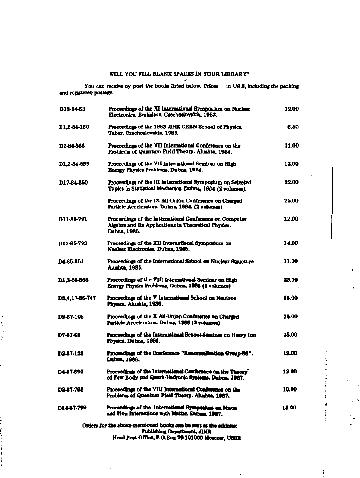### WILL YOU FILL BLANK SPACES IN YOUR LIBRARY?

You can receive by post the books listed below. Prices  $-$  in US \$, including the packing and registered postage.

| D13-84-63      | Proceedings of the XI Internstional Symposium on Nuclear<br>Electronics. Bratislava, Czechoslovakia, 1983.                      | 12.00 |
|----------------|---------------------------------------------------------------------------------------------------------------------------------|-------|
| E1,2-84-160    | Proceedings of the 1983 JINR-CERN School of Physics.<br>Tabor, Czechoslovakia, 1983.                                            | 6.50  |
| D2-84-366      | Proceedings of the VII International Conference on the<br>Problems of Quantum Field Theory. Alushta, 1984.                      | 11.00 |
| D1.2-84-599    | Proceedings of the VII International Seminar on High<br>Energy Physics Problems. Dubna, 1984.                                   | 12.00 |
| D17-84-850     | Proceedings of the III Internstional Symposium on Selected<br>Topics in Statistical Mechanics. Dubna, 1984 (2 volumes).         | 22.00 |
|                | Proceedings of the IX All-Union Conference on Charged<br>Particle Accelerators. Dubna, 1984. (2 volumes)                        | 25.00 |
| D11-85-791     | Proceedings of the International Conference on Computer<br>Algebra and Its Applications in Theoretical Physics.<br>Dubna. 1985. | 12.00 |
| D13-85-793     | Proceedings of the XII International Symposium on<br>Nuclear Electronics, Dubna, 1985.                                          | 14.00 |
| D4-85-851      | Proceedings of the International School on Nuclear Structure<br>Alushta, 1985.                                                  | 11.00 |
| D1.2-86-668    | Proceedings of the VIII Internstional Sominar on High<br>Energy Physics Problems, Dubna, 1986 (2 volumes)                       | 23.00 |
| D3.4.17-86-747 | Proceedings of the V International School on Neutron<br>Physics. Alushta, 1986.                                                 | 25.00 |
| D9-87-105      | Proceedings of the X All-Union Conference on Charged<br>Particle Accelerators. Dubna, 1986 (2 volumes)                          | 25.00 |
| D7-87-68       | Proceedings of the International School-Seminar on Heavy Ion<br>Physics. Duhna, 1986.                                           | 25.00 |
| D2-87-123      | Proceedings of the Conference "Renormalization Group-86".<br><b>Dubne, 1986.</b>                                                | 12.00 |
| D4-87-692      | Proceedings of the International Conference on the Theory'<br>of Few Body and Quark-Hadronic Systems. Dubne, 1987.              | 12.00 |
| D2-87-798      | Proceedings of the VIII International Conference on the<br>Problems of Quantum Field Theory. Alushin, 1967.                     | 10.00 |
| D14-87-799     | Proceedings of the Internstional Symposium on Muon<br>and Plon Interactions with Matter. Dahna, 1987.                           | 13.00 |
|                | Orders for the above-mentioned books can be sent at the address:                                                                |       |
|                | Publishing Department, JINR<br>Head Post Office, P.O.Box 79 101000 Moscow, USSR                                                 |       |

**Contract Contract Contract** 

 $\mathfrak{g}$ ¥

 $\pmb{\mathfrak{z}}$  $\ddot{\ddot{\cdot}}$ 

 $\ell$ 

 $\ddot{\phantom{a}}$ 

 $\mathbb{Z}_p$  5

 $\overline{a}$ 

ï  $\frac{1}{2}$ ţ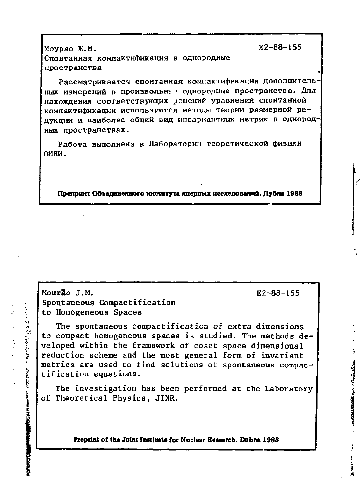$E2 - 88 - 155$ 

 $E2 - 88 - 155$ 

**This of the Contract State** 

Movpao M.M. Спонтанная компактификация в однородные пространства

Рассматривается спонтанная компактификация дополнительных измерений в произвольны в однородные пространства. Для нахождения соответствующих рашений уравнений спонтанной компактификации используются методы теории размерной редукции и наиболее общий вид инвариантных метрик в однородных пространствах.

Работа выполнена в Лаборатории теоретической физики оияи.

Препринт Объединенного института ядерных исследований. Дубна 1988

Mourão J.M. Spontaneous Compactification to Homogeneous Spaces

「今日の「明」の「今日の中国の中国の家」とも、日本の島島村の

The spontaneous compactification of extra dimensions to compact homogeneous spaces is studied. The methods developed within the framework of coset space dimensional reduction scheme and the most general form of invariant metrics are used to find solutions of spontaneous compactification equations.

The investigation has been performed at the Laboratory of Theoretical Physics, JINR.

Preprint of the Joint Institute for Nuclear Research. Dubna 1988